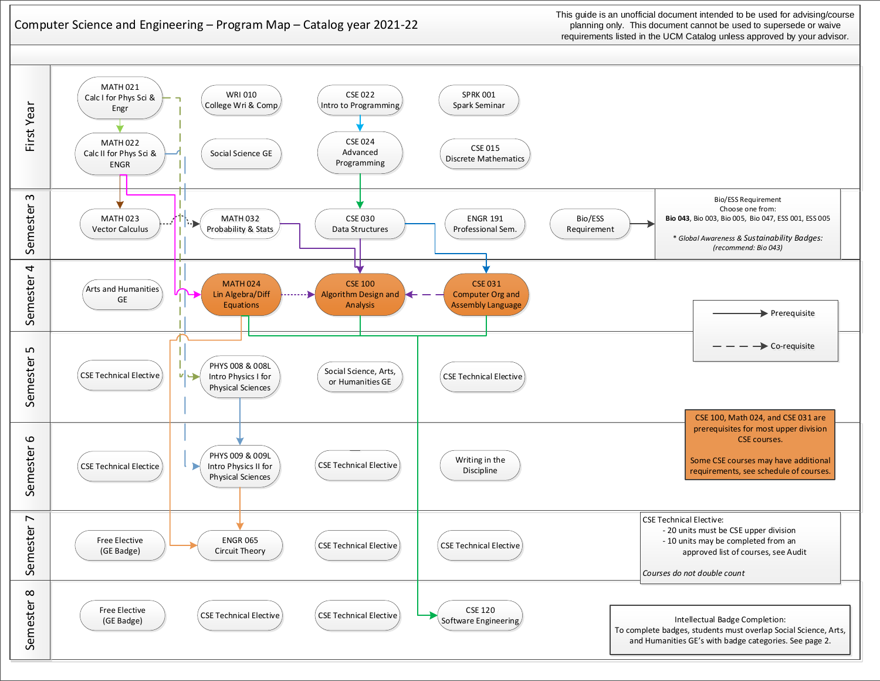